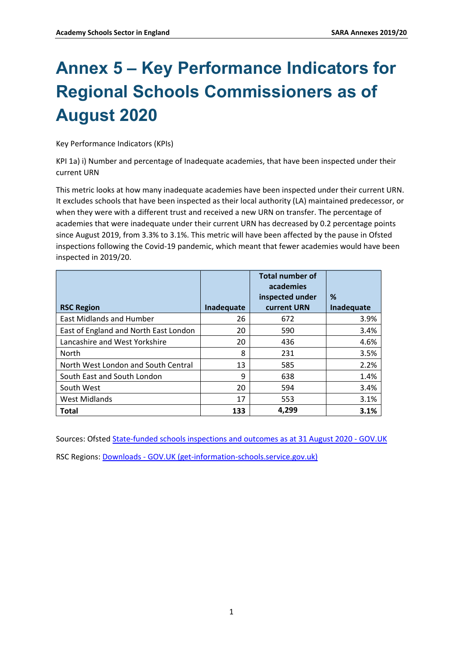## **Annex 5 – Key Performance Indicators for Regional Schools Commissioners as of August 2020**

Key Performance Indicators (KPIs)

KPI 1a) i) Number and percentage of Inadequate academies, that have been inspected under their current URN

This metric looks at how many inadequate academies have been inspected under their current URN. It excludes schools that have been inspected as their local authority (LA) maintained predecessor, or when they were with a different trust and received a new URN on transfer. The percentage of academies that were inadequate under their current URN has decreased by 0.2 percentage points since August 2019, from 3.3% to 3.1%. This metric will have been affected by the pause in Ofsted inspections following the Covid-19 pandemic, which meant that fewer academies would have been inspected in 2019/20.

|                                       |            | <b>Total number of</b><br>academies |            |
|---------------------------------------|------------|-------------------------------------|------------|
|                                       |            | inspected under                     | %          |
| <b>RSC Region</b>                     | Inadequate | current URN                         | Inadequate |
| <b>East Midlands and Humber</b>       | 26         | 672                                 | 3.9%       |
| East of England and North East London | 20         | 590                                 | 3.4%       |
| Lancashire and West Yorkshire         | 20         | 436                                 | 4.6%       |
| <b>North</b>                          | 8          | 231                                 | 3.5%       |
| North West London and South Central   | 13         | 585                                 | 2.2%       |
| South East and South London           | 9          | 638                                 | 1.4%       |
| South West                            | 20         | 594                                 | 3.4%       |
| <b>West Midlands</b>                  | 17         | 553                                 | 3.1%       |
| <b>Total</b>                          | 133        | 4,299                               | 3.1%       |

Sources: Ofste[d State-funded schools inspections and outcomes as at 31 August 2020 - GOV.UK](https://www.gov.uk/government/statistics/state-funded-schools-inspections-and-outcomes-as-at-31-august-2020)  RSC Regions: [Downloads - GOV.UK \(get-information-schools.service.gov.uk\)](https://get-information-schools.service.gov.uk/Downloads)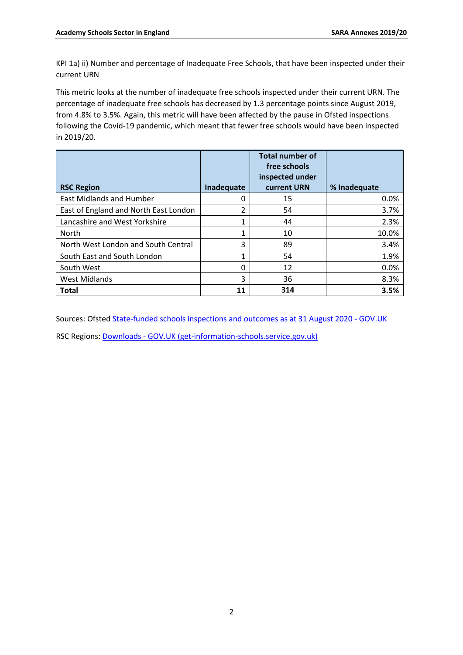KPI 1a) ii) Number and percentage of Inadequate Free Schools, that have been inspected under their current URN

This metric looks at the number of inadequate free schools inspected under their current URN. The percentage of inadequate free schools has decreased by 1.3 percentage points since August 2019, from 4.8% to 3.5%. Again, this metric will have been affected by the pause in Ofsted inspections following the Covid-19 pandemic, which meant that fewer free schools would have been inspected in 2019/20.

|                                       |            | <b>Total number of</b><br>free schools<br>inspected under |              |
|---------------------------------------|------------|-----------------------------------------------------------|--------------|
| <b>RSC Region</b>                     | Inadequate | current URN                                               | % Inadequate |
| <b>East Midlands and Humber</b>       | 0          | 15                                                        | 0.0%         |
| East of England and North East London | 2          | 54                                                        | 3.7%         |
| Lancashire and West Yorkshire         | 1          | 44                                                        | 2.3%         |
| North                                 | 1          | 10                                                        | 10.0%        |
| North West London and South Central   | 3          | 89                                                        | 3.4%         |
| South East and South London           | 1          | 54                                                        | 1.9%         |
| South West                            | 0          | 12                                                        | 0.0%         |
| <b>West Midlands</b>                  | 3          | 36                                                        | 8.3%         |
| <b>Total</b>                          | 11         | 314                                                       | 3.5%         |

Sources: Ofste[d State-funded schools inspections and outcomes as at 31 August 2020 -](https://www.gov.uk/government/statistics/state-funded-schools-inspections-and-outcomes-as-at-31-august-2020) GOV.UK

RSC Regions: Downloads - [GOV.UK \(get-information-schools.service.gov.uk\)](https://get-information-schools.service.gov.uk/Downloads)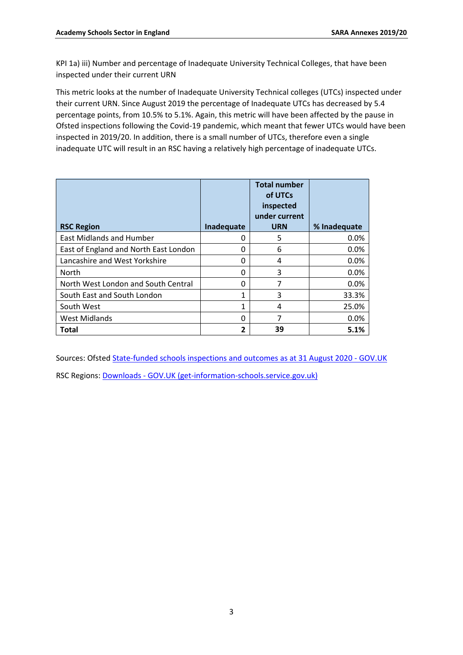KPI 1a) iii) Number and percentage of Inadequate University Technical Colleges, that have been inspected under their current URN

This metric looks at the number of Inadequate University Technical colleges (UTCs) inspected under their current URN. Since August 2019 the percentage of Inadequate UTCs has decreased by 5.4 percentage points, from 10.5% to 5.1%. Again, this metric will have been affected by the pause in Ofsted inspections following the Covid-19 pandemic, which meant that fewer UTCs would have been inspected in 2019/20. In addition, there is a small number of UTCs, therefore even a single inadequate UTC will result in an RSC having a relatively high percentage of inadequate UTCs.

|                                       |            | <b>Total number</b><br>of UTCs<br>inspected<br>under current |              |
|---------------------------------------|------------|--------------------------------------------------------------|--------------|
| <b>RSC Region</b>                     | Inadequate | <b>URN</b>                                                   | % Inadequate |
| <b>East Midlands and Humber</b>       | 0          | 5                                                            | 0.0%         |
| East of England and North East London | 0          | 6                                                            | 0.0%         |
| Lancashire and West Yorkshire         | 0          | 4                                                            | 0.0%         |
| North                                 | 0          | 3                                                            | 0.0%         |
| North West London and South Central   | 0          |                                                              | 0.0%         |
| South East and South London           | 1          | 3                                                            | 33.3%        |
| South West                            | 1          | 4                                                            | 25.0%        |
| <b>West Midlands</b>                  | 0          | 7                                                            | 0.0%         |
| <b>Total</b>                          | 2          | 39                                                           | 5.1%         |

Sources: Ofste[d State-funded schools inspections and outcomes as at 31 August 2020 -](https://www.gov.uk/government/statistics/state-funded-schools-inspections-and-outcomes-as-at-31-august-2020) GOV.UK

RSC Regions: Downloads - [GOV.UK \(get-information-schools.service.gov.uk\)](https://get-information-schools.service.gov.uk/Downloads)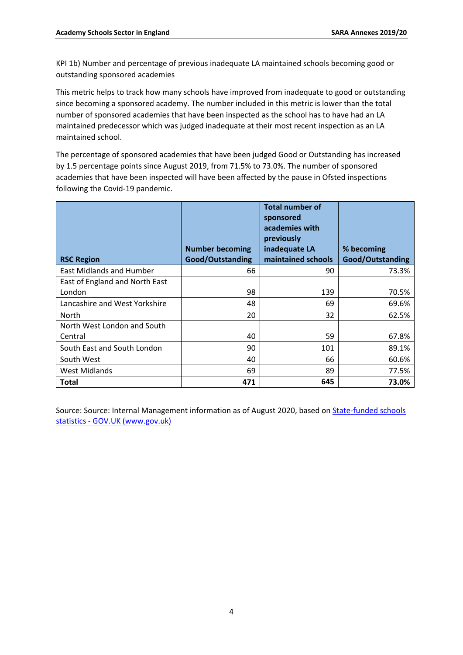KPI 1b) Number and percentage of previous inadequate LA maintained schools becoming good or outstanding sponsored academies

This metric helps to track how many schools have improved from inadequate to good or outstanding since becoming a sponsored academy. The number included in this metric is lower than the total number of sponsored academies that have been inspected as the school has to have had an LA maintained predecessor which was judged inadequate at their most recent inspection as an LA maintained school.

The percentage of sponsored academies that have been judged Good or Outstanding has increased by 1.5 percentage points since August 2019, from 71.5% to 73.0%. The number of sponsored academies that have been inspected will have been affected by the pause in Ofsted inspections following the Covid-19 pandemic.

| <b>RSC Region</b>               | <b>Number becoming</b><br>Good/Outstanding | <b>Total number of</b><br>sponsored<br>academies with<br>previously<br>inadequate LA<br>maintained schools | % becoming<br>Good/Outstanding |
|---------------------------------|--------------------------------------------|------------------------------------------------------------------------------------------------------------|--------------------------------|
| <b>East Midlands and Humber</b> | 66                                         | 90                                                                                                         | 73.3%                          |
| East of England and North East  |                                            |                                                                                                            |                                |
| London                          | 98                                         | 139                                                                                                        | 70.5%                          |
| Lancashire and West Yorkshire   | 48                                         | 69                                                                                                         | 69.6%                          |
| North                           | 20                                         | 32                                                                                                         | 62.5%                          |
| North West London and South     |                                            |                                                                                                            |                                |
| Central                         | 40                                         | 59                                                                                                         | 67.8%                          |
| South East and South London     | 90                                         | 101                                                                                                        | 89.1%                          |
| South West                      | 40                                         | 66                                                                                                         | 60.6%                          |
| West Midlands                   | 69                                         | 89                                                                                                         | 77.5%                          |
| <b>Total</b>                    | 471                                        | 645                                                                                                        | 73.0%                          |

Source: Source: Internal Management information as of August 2020, based on **State-funded schools** statistics - [GOV.UK \(www.gov.uk\)](https://www.gov.uk/government/collections/maintained-schools-and-academies-inspections-and-outcomes-official-statistics)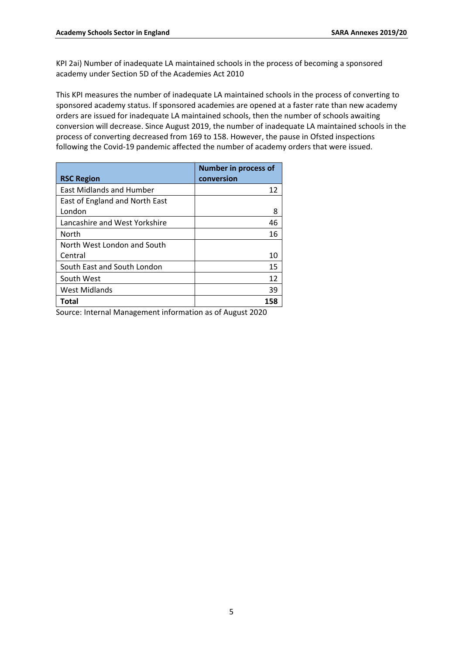KPI 2ai) Number of inadequate LA maintained schools in the process of becoming a sponsored academy under Section 5D of the Academies Act 2010

This KPI measures the number of inadequate LA maintained schools in the process of converting to sponsored academy status. If sponsored academies are opened at a faster rate than new academy orders are issued for inadequate LA maintained schools, then the number of schools awaiting conversion will decrease. Since August 2019, the number of inadequate LA maintained schools in the process of converting decreased from 169 to 158. However, the pause in Ofsted inspections following the Covid-19 pandemic affected the number of academy orders that were issued.

|                                 | <b>Number in process of</b> |
|---------------------------------|-----------------------------|
| <b>RSC Region</b>               | conversion                  |
| <b>East Midlands and Humber</b> | 12                          |
| East of England and North East  |                             |
| London                          | 8                           |
| Lancashire and West Yorkshire   | 46                          |
| North                           | 16                          |
| North West London and South     |                             |
| Central                         | 10                          |
| South East and South London     | 15                          |
| South West                      | 12                          |
| <b>West Midlands</b>            | 39                          |
| Total                           | 158                         |

Source: Internal Management information as of August 2020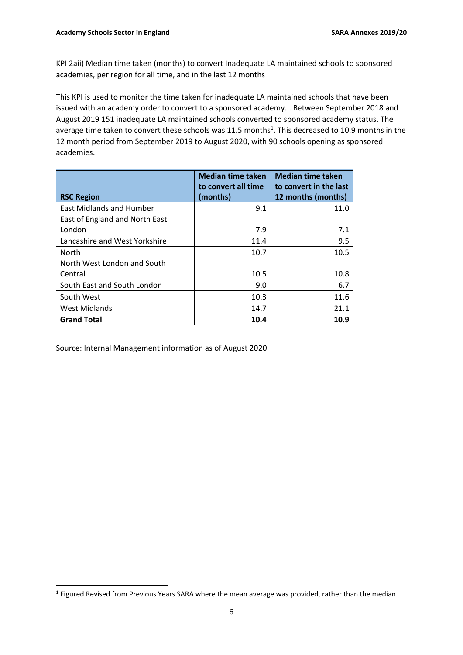KPI 2aii) Median time taken (months) to convert Inadequate LA maintained schools to sponsored academies, per region for all time, and in the last 12 months

This KPI is used to monitor the time taken for inadequate LA maintained schools that have been issued with an academy order to convert to a sponsored academy... Between September 2018 and August 2019 151 inadequate LA maintained schools converted to sponsored academy status. The average time taken to convert these schools was 11.5 months<sup>1</sup>. This decreased to 10.9 months in the 12 month period from September 2019 to August 2020, with 90 schools opening as sponsored academies.

| <b>RSC Region</b>               | <b>Median time taken</b><br>to convert all time<br>(months) | <b>Median time taken</b><br>to convert in the last<br>12 months (months) |
|---------------------------------|-------------------------------------------------------------|--------------------------------------------------------------------------|
| <b>East Midlands and Humber</b> | 9.1                                                         | 11.0                                                                     |
| East of England and North East  |                                                             |                                                                          |
| London                          | 7.9                                                         | 7.1                                                                      |
| Lancashire and West Yorkshire   | 11.4                                                        | 9.5                                                                      |
| <b>North</b>                    | 10.7                                                        | 10.5                                                                     |
| North West London and South     |                                                             |                                                                          |
| Central                         | 10.5                                                        | 10.8                                                                     |
| South East and South London     | 9.0                                                         | 6.7                                                                      |
| South West                      | 10.3                                                        | 11.6                                                                     |
| West Midlands                   | 14.7                                                        | 21.1                                                                     |
| <b>Grand Total</b>              | 10.4                                                        | 10.9                                                                     |

Source: Internal Management information as of August 2020

<sup>&</sup>lt;sup>1</sup> Figured Revised from Previous Years SARA where the mean average was provided, rather than the median.